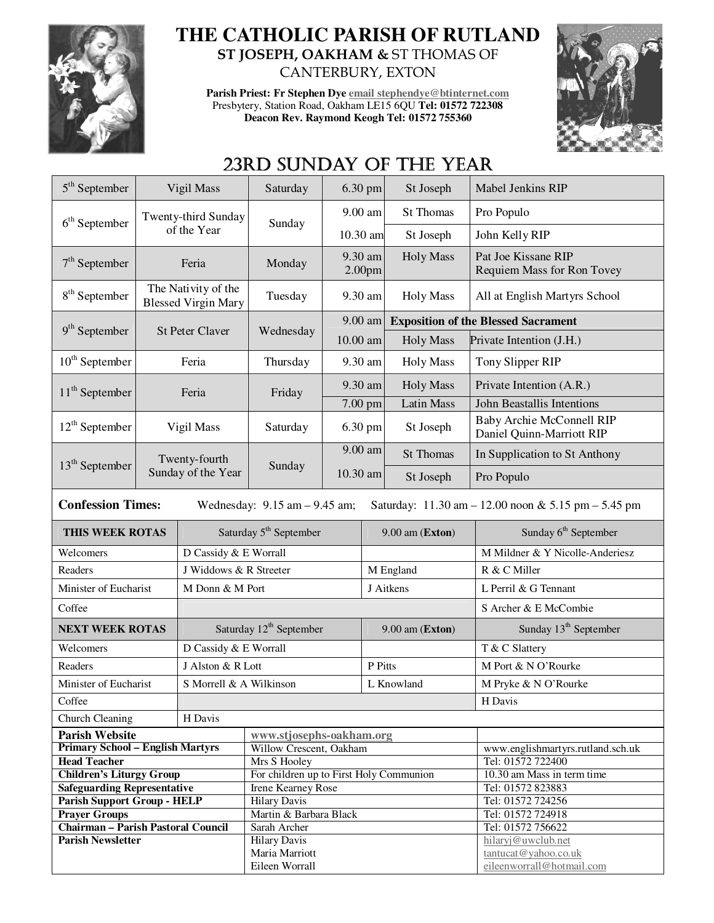

## **THE CATHOLIC PARISH OF RUTLAND ST JOSEPH, OAKHAM &** ST THOMAS OF CANTERBURY, EXTON

**Parish Priest: Fr Stephen Dye email stephendye@btinternet.com** Presbytery, Station Road, Oakham LE15 6QU **Tel: 01572 722308 Deacon Rev. Raymond Keogh Tel: 01572 755360** 



# 23RD SUNDAY OF THE YEAR

| $5th$ September                                                                                                      | Vigil Mass                          |                                    | Saturday                                            | 6.30 pm             |                  | St Joseph                                         | <b>Mabel Jenkins RIP</b>                                      |  |
|----------------------------------------------------------------------------------------------------------------------|-------------------------------------|------------------------------------|-----------------------------------------------------|---------------------|------------------|---------------------------------------------------|---------------------------------------------------------------|--|
| $6th$ September                                                                                                      |                                     | Twenty-third Sunday                | Sunday                                              | 9.00 am             |                  | <b>St Thomas</b>                                  | Pro Populo                                                    |  |
|                                                                                                                      |                                     | of the Year                        |                                                     | 10.30 am            |                  | St Joseph                                         | John Kelly RIP                                                |  |
| $7th$ September<br>Feria                                                                                             |                                     | Monday                             | 9.30 am<br>2.00 <sub>pm</sub>                       |                     | <b>Holy Mass</b> | Pat Joe Kissane RIP<br>Requiem Mass for Ron Tovey |                                                               |  |
| The Nativity of the<br>8 <sup>th</sup> September<br><b>Blessed Virgin Mary</b>                                       |                                     | Tuesday                            | 9.30 am                                             |                     | <b>Holy Mass</b> | All at English Martyrs School                     |                                                               |  |
| $9th$ September                                                                                                      |                                     | <b>St Peter Claver</b>             | Wednesday                                           | 9.00 am             |                  | <b>Exposition of the Blessed Sacrament</b>        |                                                               |  |
|                                                                                                                      |                                     |                                    |                                                     | 10.00 am            |                  | <b>Holy Mass</b>                                  | Private Intention (J.H.)                                      |  |
| $10th$ September                                                                                                     | Feria                               |                                    | Thursday                                            | 9.30 am             |                  | <b>Holy Mass</b>                                  | Tony Slipper RIP                                              |  |
| $11th$ September                                                                                                     |                                     | Feria                              | Friday                                              | 9.30 am             |                  | <b>Holy Mass</b>                                  | Private Intention (A.R.)                                      |  |
|                                                                                                                      |                                     |                                    |                                                     | 7.00 pm             |                  | <b>Latin Mass</b>                                 | John Beastallis Intentions                                    |  |
| $12th$ September                                                                                                     | Vigil Mass                          |                                    | Saturday                                            | 6.30 pm             |                  | St Joseph                                         | <b>Baby Archie McConnell RIP</b><br>Daniel Quinn-Marriott RIP |  |
|                                                                                                                      | Twenty-fourth<br>Sunday of the Year |                                    | Sunday                                              | 9.00 am<br>10.30 am |                  | <b>St Thomas</b>                                  | In Supplication to St Anthony                                 |  |
| $13th$ September                                                                                                     |                                     |                                    |                                                     |                     |                  | St Joseph                                         | Pro Populo                                                    |  |
| <b>Confession Times:</b><br>Wednesday: $9.15$ am $- 9.45$ am;<br>Saturday: 11.30 am - 12.00 noon & 5.15 pm - 5.45 pm |                                     |                                    |                                                     |                     |                  |                                                   |                                                               |  |
| THIS WEEK ROTAS                                                                                                      |                                     | Saturday 5 <sup>th</sup> September |                                                     |                     |                  |                                                   |                                                               |  |
|                                                                                                                      |                                     |                                    |                                                     |                     |                  | 9.00 am (Exton)                                   | Sunday $6th$ September                                        |  |
| Welcomers                                                                                                            |                                     | D Cassidy & E Worrall              |                                                     |                     |                  |                                                   | M Mildner & Y Nicolle-Anderiesz                               |  |
| Readers                                                                                                              |                                     | J Widdows & R Streeter             |                                                     |                     |                  | M England                                         | R & C Miller                                                  |  |
| Minister of Eucharist                                                                                                |                                     | M Donn & M Port                    |                                                     |                     |                  | J Aitkens                                         | L Perril & G Tennant                                          |  |
| Coffee                                                                                                               |                                     |                                    |                                                     |                     |                  |                                                   | S Archer & E McCombie                                         |  |
| <b>NEXT WEEK ROTAS</b>                                                                                               |                                     |                                    | Saturday 12 <sup>th</sup> September                 |                     |                  | $9.00$ am (Exton)                                 | Sunday 13 <sup>th</sup> September                             |  |
| Welcomers                                                                                                            |                                     | D Cassidy & E Worrall              |                                                     |                     |                  |                                                   | T & C Slattery                                                |  |
| Readers                                                                                                              |                                     | J Alston & R Lott                  |                                                     |                     | P Pitts          |                                                   | M Port & N O'Rourke                                           |  |
| Minister of Eucharist                                                                                                |                                     | S Morrell & A Wilkinson            |                                                     |                     |                  | L Knowland                                        | M Pryke & N O'Rourke                                          |  |
| Coffee                                                                                                               |                                     |                                    |                                                     |                     |                  |                                                   | H Davis                                                       |  |
| <b>Church Cleaning</b>                                                                                               |                                     | H Davis                            |                                                     |                     |                  |                                                   |                                                               |  |
| <b>Parish Website</b>                                                                                                |                                     |                                    |                                                     |                     |                  |                                                   |                                                               |  |
| <b>Primary School - English Martyrs</b>                                                                              |                                     |                                    | www.stjosephs-oakham.org<br>Willow Crescent, Oakham |                     |                  |                                                   | www.englishmartyrs.rutland.sch.uk                             |  |
| <b>Head Teacher</b>                                                                                                  |                                     |                                    | Mrs S Hooley                                        |                     |                  |                                                   | Tel: 01572 722400                                             |  |
| <b>Children's Liturgy Group</b>                                                                                      |                                     |                                    | For children up to First Holy Communion             |                     |                  |                                                   | 10.30 am Mass in term time                                    |  |
| <b>Safeguarding Representative</b>                                                                                   |                                     |                                    | <b>Irene Kearney Rose</b>                           |                     |                  |                                                   | Tel: 01572 823883                                             |  |
| <b>Parish Support Group - HELP</b>                                                                                   |                                     |                                    | <b>Hilary Davis</b>                                 |                     |                  |                                                   | Tel: 01572 724256                                             |  |
| <b>Prayer Groups</b>                                                                                                 |                                     |                                    | Martin & Barbara Black                              |                     |                  |                                                   | Tel: 01572 724918                                             |  |
| <b>Chairman - Parish Pastoral Council</b><br><b>Parish Newsletter</b>                                                |                                     |                                    | Sarah Archer                                        |                     |                  |                                                   | Tel: 01572 756622                                             |  |
|                                                                                                                      |                                     |                                    | <b>Hilary Davis</b><br>Maria Marriott               |                     |                  |                                                   | hilaryj@uwclub.net<br>tantucat@yahoo.co.uk                    |  |